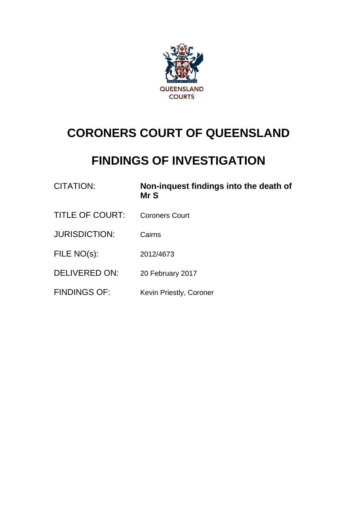

# **CORONERS COURT OF QUEENSLAND**

# **FINDINGS OF INVESTIGATION**

| CITATION:              | Non-inquest findings into the death of<br>Mr S |
|------------------------|------------------------------------------------|
| <b>TITLE OF COURT:</b> | <b>Coroners Court</b>                          |
| <b>JURISDICTION:</b>   | Cairns                                         |
| FILE NO(s):            | 2012/4673                                      |
| <b>DELIVERED ON:</b>   | 20 February 2017                               |
| <b>FINDINGS OF:</b>    | Kevin Priestly, Coroner                        |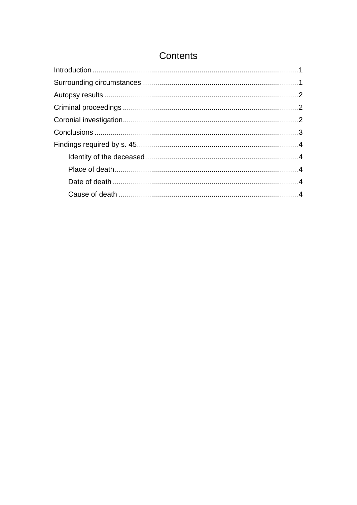# Contents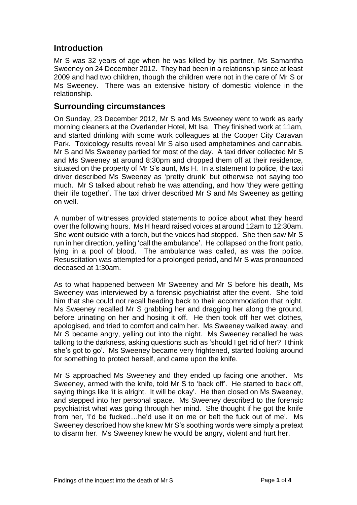### <span id="page-2-0"></span>**Introduction**

Mr S was 32 years of age when he was killed by his partner, Ms Samantha Sweeney on 24 December 2012. They had been in a relationship since at least 2009 and had two children, though the children were not in the care of Mr S or Ms Sweeney. There was an extensive history of domestic violence in the relationship.

#### <span id="page-2-1"></span>**Surrounding circumstances**

On Sunday, 23 December 2012, Mr S and Ms Sweeney went to work as early morning cleaners at the Overlander Hotel, Mt Isa. They finished work at 11am, and started drinking with some work colleagues at the Cooper City Caravan Park. Toxicology results reveal Mr S also used amphetamines and cannabis. Mr S and Ms Sweeney partied for most of the day. A taxi driver collected Mr S and Ms Sweeney at around 8:30pm and dropped them off at their residence, situated on the property of Mr S's aunt, Ms H. In a statement to police, the taxi driver described Ms Sweeney as 'pretty drunk' but otherwise not saying too much. Mr S talked about rehab he was attending, and how 'they were getting their life together'. The taxi driver described Mr S and Ms Sweeney as getting on well.

A number of witnesses provided statements to police about what they heard over the following hours. Ms H heard raised voices at around 12am to 12:30am. She went outside with a torch, but the voices had stopped. She then saw Mr S run in her direction, yelling 'call the ambulance'. He collapsed on the front patio, lying in a pool of blood. The ambulance was called, as was the police. Resuscitation was attempted for a prolonged period, and Mr S was pronounced deceased at 1:30am.

As to what happened between Mr Sweeney and Mr S before his death, Ms Sweeney was interviewed by a forensic psychiatrist after the event. She told him that she could not recall heading back to their accommodation that night. Ms Sweeney recalled Mr S grabbing her and dragging her along the ground, before urinating on her and hosing it off. He then took off her wet clothes, apologised, and tried to comfort and calm her. Ms Sweeney walked away, and Mr S became angry, yelling out into the night. Ms Sweeney recalled he was talking to the darkness, asking questions such as 'should I get rid of her? I think she's got to go'. Ms Sweeney became very frightened, started looking around for something to protect herself, and came upon the knife.

Mr S approached Ms Sweeney and they ended up facing one another. Ms Sweeney, armed with the knife, told Mr S to 'back off'. He started to back off, saying things like 'it is alright. It will be okay'. He then closed on Ms Sweeney, and stepped into her personal space. Ms Sweeney described to the forensic psychiatrist what was going through her mind. She thought if he got the knife from her, 'I'd be fucked…he'd use it on me or belt the fuck out of me'. Ms Sweeney described how she knew Mr S's soothing words were simply a pretext to disarm her. Ms Sweeney knew he would be angry, violent and hurt her.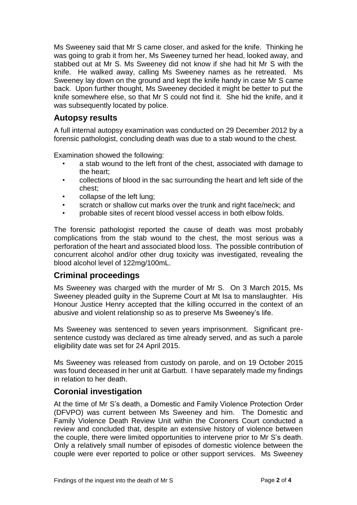Ms Sweeney said that Mr S came closer, and asked for the knife. Thinking he was going to grab it from her, Ms Sweeney turned her head, looked away, and stabbed out at Mr S. Ms Sweeney did not know if she had hit Mr S with the knife. He walked away, calling Ms Sweeney names as he retreated. Ms Sweeney lay down on the ground and kept the knife handy in case Mr S came back. Upon further thought, Ms Sweeney decided it might be better to put the knife somewhere else, so that Mr S could not find it. She hid the knife, and it was subsequently located by police.

## <span id="page-3-0"></span>**Autopsy results**

A full internal autopsy examination was conducted on 29 December 2012 by a forensic pathologist, concluding death was due to a stab wound to the chest.

Examination showed the following:

- a stab wound to the left front of the chest, associated with damage to the heart;
- collections of blood in the sac surrounding the heart and left side of the chest;
- collapse of the left lung;
- scratch or shallow cut marks over the trunk and right face/neck; and
- probable sites of recent blood vessel access in both elbow folds.

The forensic pathologist reported the cause of death was most probably complications from the stab wound to the chest, the most serious was a perforation of the heart and associated blood loss. The possible contribution of concurrent alcohol and/or other drug toxicity was investigated, revealing the blood alcohol level of 122mg/100mL.

#### <span id="page-3-1"></span>**Criminal proceedings**

Ms Sweeney was charged with the murder of Mr S. On 3 March 2015, Ms Sweeney pleaded guilty in the Supreme Court at Mt Isa to manslaughter. His Honour Justice Henry accepted that the killing occurred in the context of an abusive and violent relationship so as to preserve Ms Sweeney's life.

Ms Sweeney was sentenced to seven years imprisonment. Significant presentence custody was declared as time already served, and as such a parole eligibility date was set for 24 April 2015.

Ms Sweeney was released from custody on parole, and on 19 October 2015 was found deceased in her unit at Garbutt. I have separately made my findings in relation to her death.

### <span id="page-3-2"></span>**Coronial investigation**

At the time of Mr S's death, a Domestic and Family Violence Protection Order (DFVPO) was current between Ms Sweeney and him. The Domestic and Family Violence Death Review Unit within the Coroners Court conducted a review and concluded that, despite an extensive history of violence between the couple, there were limited opportunities to intervene prior to Mr S's death. Only a relatively small number of episodes of domestic violence between the couple were ever reported to police or other support services. Ms Sweeney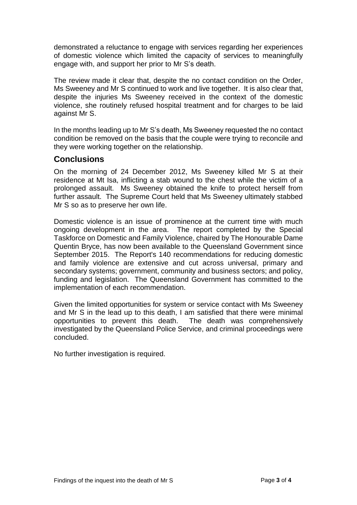demonstrated a reluctance to engage with services regarding her experiences of domestic violence which limited the capacity of services to meaningfully engage with, and support her prior to Mr S's death.

The review made it clear that, despite the no contact condition on the Order, Ms Sweeney and Mr S continued to work and live together. It is also clear that, despite the injuries Ms Sweeney received in the context of the domestic violence, she routinely refused hospital treatment and for charges to be laid against Mr S.

In the months leading up to Mr S's death, Ms Sweeney requested the no contact condition be removed on the basis that the couple were trying to reconcile and they were working together on the relationship.

#### <span id="page-4-0"></span>**Conclusions**

On the morning of 24 December 2012, Ms Sweeney killed Mr S at their residence at Mt Isa, inflicting a stab wound to the chest while the victim of a prolonged assault. Ms Sweeney obtained the knife to protect herself from further assault. The Supreme Court held that Ms Sweeney ultimately stabbed Mr S so as to preserve her own life.

Domestic violence is an issue of prominence at the current time with much ongoing development in the area. The report completed by the Special Taskforce on Domestic and Family Violence, chaired by The Honourable Dame Quentin Bryce, has now been available to the Queensland Government since September 2015. The Report's 140 recommendations for reducing domestic and family violence are extensive and cut across universal, primary and secondary systems; government, community and business sectors; and policy, funding and legislation. The Queensland Government has committed to the implementation of each recommendation.

Given the limited opportunities for system or service contact with Ms Sweeney and Mr S in the lead up to this death, I am satisfied that there were minimal opportunities to prevent this death. The death was comprehensively investigated by the Queensland Police Service, and criminal proceedings were concluded.

No further investigation is required.